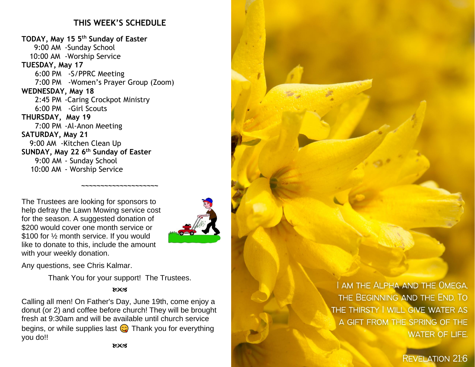## **THIS WEEK'S SCHEDULE**

**TODAY, May 15 5 th Sunday of Easter** 9:00 AM -Sunday School 10:00 AM -Worship Service **TUESDAY, May 17** 6:00 PM -S/PPRC Meeting 7:00 PM -Women's Prayer Group (Zoom) **WEDNESDAY, May 18** 2:45 PM -Caring Crockpot Ministry 6:00 PM -Girl Scouts **THURSDAY, May 19** 7:00 PM -Al-Anon Meeting **SATURDAY, May 21** 9:00 AM -Kitchen Clean Up **SUNDAY, May 22 6 th Sunday of Easter** 9:00 AM - Sunday School 10:00 AM - Worship Service

The Trustees are looking for sponsors to help defray the Lawn Mowing service cost for the season. A suggested donation of \$200 would cover one month service or \$100 for 1/2 month service. If you would like to donate to this, include the amount

Any questions, see Chris Kalmar.

with your weekly donation.

Thank You for your support! The Trustees.

**~~~~~~~~~~~~~~~~~~~~**

#### **ROCK**

Calling all men! On Father's Day, June 19th, come enjoy a donut (or 2) and coffee before church! They will be brought fresh at 9:30am and will be available until church service begins, or while supplies last  $\odot$  Thank you for everything you do!!

I AM THE ALPHA AND THE OMEGA. THE BEGINNING AND THE END. TO THE THIRSTY I WILL GIVE WATER AS A GIFT FROM THE SPRING OF THE **WATER OF LIFE.** 

**REVELATION 21:6**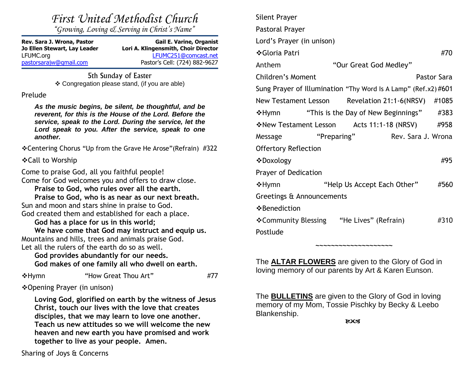| First United Methodist Church<br>"Growing, Loving & Serving in Christ's Name"                                                                                                                                                                                                                                                                                                                                 |                                                                                                 | <b>Silent Pra</b>           |
|---------------------------------------------------------------------------------------------------------------------------------------------------------------------------------------------------------------------------------------------------------------------------------------------------------------------------------------------------------------------------------------------------------------|-------------------------------------------------------------------------------------------------|-----------------------------|
|                                                                                                                                                                                                                                                                                                                                                                                                               |                                                                                                 | Pastoral I                  |
| Rev. Sara J. Wrona, Pastor                                                                                                                                                                                                                                                                                                                                                                                    | <b>Gail E. Varine, Organist</b><br>Lori A. Klingensmith, Choir Director<br>LFUMC251@comcast.net | Lord's Pra                  |
| Jo Ellen Stewart, Lay Leader<br>LFUMC.org                                                                                                                                                                                                                                                                                                                                                                     |                                                                                                 | ❖Gloria I                   |
| pastorsarajw@gmail.com                                                                                                                                                                                                                                                                                                                                                                                        | Pastor's Cell: (724) 882-9627                                                                   | Anthem                      |
| 5th Sunday of Easter<br>❖ Congregation please stand, (if you are able)<br>Prelude                                                                                                                                                                                                                                                                                                                             |                                                                                                 | Children'                   |
|                                                                                                                                                                                                                                                                                                                                                                                                               |                                                                                                 | Sung Pray                   |
| As the music begins, be silent, be thoughtful, and be<br>reverent, for this is the House of the Lord. Before the<br>service, speak to the Lord. During the service, let the<br>Lord speak to you. After the service, speak to one<br>another.                                                                                                                                                                 |                                                                                                 | <b>New Test</b>             |
|                                                                                                                                                                                                                                                                                                                                                                                                               |                                                                                                 | <b>❖Hymn</b>                |
|                                                                                                                                                                                                                                                                                                                                                                                                               |                                                                                                 | <b>☆New Te</b>              |
|                                                                                                                                                                                                                                                                                                                                                                                                               |                                                                                                 | Message                     |
| ❖ Centering Chorus "Up from the Grave He Arose" (Refrain) #322                                                                                                                                                                                                                                                                                                                                                |                                                                                                 | Offertory                   |
| ❖ Call to Worship                                                                                                                                                                                                                                                                                                                                                                                             |                                                                                                 | ❖Doxolo                     |
| Come to praise God, all you faithful people!<br>Come for God welcomes you and offers to draw close.<br>Praise to God, who rules over all the earth.<br>Praise to God, who is as near as our next breath.<br>Sun and moon and stars shine in praise to God.<br>God created them and established for each a place.<br>God has a place for us in this world;<br>We have come that God may instruct and equip us. |                                                                                                 | Prayer of                   |
|                                                                                                                                                                                                                                                                                                                                                                                                               |                                                                                                 | <b>❖Hymn</b>                |
|                                                                                                                                                                                                                                                                                                                                                                                                               |                                                                                                 | Greetings                   |
|                                                                                                                                                                                                                                                                                                                                                                                                               |                                                                                                 | ❖Benedio                    |
|                                                                                                                                                                                                                                                                                                                                                                                                               |                                                                                                 | ❖Commu                      |
|                                                                                                                                                                                                                                                                                                                                                                                                               |                                                                                                 | Postlude                    |
| Mountains and hills, trees and animals praise God.<br>Let all the rulers of the earth do so as well.                                                                                                                                                                                                                                                                                                          |                                                                                                 |                             |
| God provides abundantly for our needs.                                                                                                                                                                                                                                                                                                                                                                        |                                                                                                 |                             |
| God makes of one family all who dwell on earth.                                                                                                                                                                                                                                                                                                                                                               |                                                                                                 | The <b>ALT</b><br>loving me |

◆Hymn "How Great Thou Art" #77

❖Opening Prayer (in unison)

**Loving God, glorified on earth by the witness of Jesus Christ, touch our lives with the love that creates disciples, that we may learn to love one another. Teach us new attitudes so we will welcome the new heaven and new earth you have promised and work together to live as your people. Amen.**

ayer Prayer ayer (in unison) ❖Gloria Patri #70 "Our Great God Medley" Summent Pastor Sara ver of Illumination "Thy Word Is A Lamp" (Ref.x2)  $\#601$  $A$  ament Lesson Revelation 21:1-6(NRSV) #1085 "This is the Day of New Beginnings"  $#383$ estament Lesson Acts 11:1-18 (NRSV) #958 "Preparing" Rev. Sara J. Wrona Reflection ❖Doxology #95 Dedication "Help Us Accept Each Other" #560 s & Announcements ction  $\frac{1}{10}$  Blessing "He Lives" (Refrain)  $\frac{1}{10}$  #310

TAR FLOWERS are given to the Glory of God in loving memory of our parents by Art & Karen Eunson.

**~~~~~~~~~~~~~~~~~~~~**

The **BULLETINS** are given to the Glory of God in loving memory of my Mom, Tossie Pischky by Becky & Leebo Blankenship.

Sharing of Joys & Concerns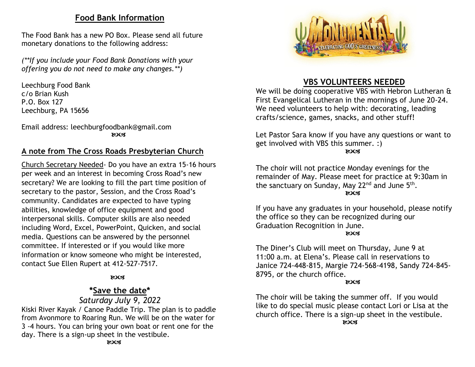#### **Food Bank Information**

The Food Bank has a new PO Box. Please send all future monetary donations to the following address:

*(\*\*If you include your Food Bank Donations with your offering you do not need to make any changes.\*\*)*

Leechburg Food Bank c/o Brian Kush P.O. Box 127 Leechburg, PA 15656

Email address: leechburgfoodbank@gmail.com **ROCK** 

## **A note from The Cross Roads Presbyterian Church**

Church Secretary Needed- Do you have an extra 15-16 hours per week and an interest in becoming Cross Road's new secretary? We are looking to fill the part time position of secretary to the pastor, Session, and the Cross Road's community. Candidates are expected to have typing abilities, knowledge of office equipment and good interpersonal skills. Computer skills are also needed including Word, Excel, PowerPoint, Quicken, and social media. Questions can be answered by the personnel committee. If interested or if you would like more information or know someone who might be interested, contact Sue Ellen Rupert at 412-527-7517.

#### **Example 2003**

## **\*Save the date\***

#### *Saturday July 9, 2022*

Kiski River Kayak / Canoe Paddle Trip. The plan is to paddle from Avonmore to Roaring Run. We will be on the water for 3 -4 hours. You can bring your own boat or rent one for the day. There is a sign-up sheet in the vestibule.



## **VBS VOLUNTEERS NEEDED**

We will be doing cooperative VBS with Hebron Lutheran & First Evangelical Lutheran in the mornings of June 20-24. We need volunteers to help with: decorating, leading crafts/science, games, snacks, and other stuff!

Let Pastor Sara know if you have any questions or want to get involved with VBS this summer. :)

**ROCS** 

The choir will not practice Monday evenings for the remainder of May. Please meet for practice at 9:30am in the sanctuary on Sunday, May 22 $^{\text{nd}}$  and June  $5^{\text{th}}$ . **ROCS** 

If you have any graduates in your household, please notify the office so they can be recognized during our Graduation Recognition in June. **ROCK** 

The Diner's Club will meet on Thursday, June 9 at 11:00 a.m. at Elena's. Please call in reservations to Janice 724-448-815, Margie 724-568-4198, Sandy 724-845- 8795, or the church office.

#### **ROCS**

The choir will be taking the summer off. If you would like to do special music please contact Lori or Lisa at the church office. There is a sign-up sheet in the vestibule. **ROCS**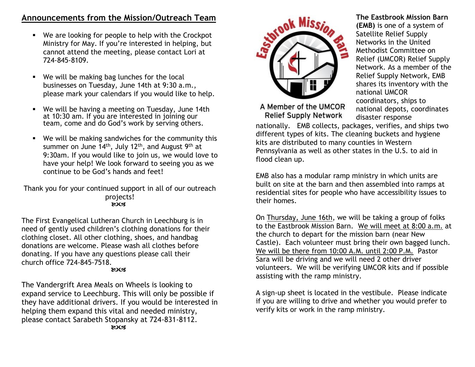## **Announcements from the Mission/Outreach Team**

- We are looking for people to help with the Crockpot Ministry for May. If you're interested in helping, but cannot attend the meeting, please contact Lori at 724-845-8109.
- We will be making bag lunches for the local businesses on Tuesday, June 14th at 9:30 a.m., please mark your calendars if you would like to help.
- We will be having a meeting on Tuesday, June 14th at 10:30 am. If you are interested in joining our team, come and do God's work by serving others.
- We will be making sandwiches for the community this summer on June  $14<sup>th</sup>$ , July 12<sup>th</sup>, and August 9<sup>th</sup> at 9:30am. If you would like to join us, we would love to have your help! We look forward to seeing you as we continue to be God's hands and feet!

Thank you for your continued support in all of our outreach projects! **LOC3** 

The First Evangelical Lutheran Church in Leechburg is in need of gently used children's clothing donations for their clothing closet. All other clothing, shoes, and handbag donations are welcome. Please wash all clothes before donating. If you have any questions please call their church office 724-845-7518. **ROCK** 

The Vandergrift Area Meals on Wheels is looking to expand service to Leechburg. This will only be possible if they have additional drivers. If you would be interested in helping them expand this vital and needed ministry, please contact Sarabeth Stopansky at 724-831-8112. **ROCK** 



**The Eastbrook Mission Barn (EMB)** is one of a system of Satellite Relief Supply Networks in the United Methodist Committee on Relief (UMCOR) Relief Supply Network. As a member of the Relief Supply Network, EMB shares its inventory with the national UMCOR coordinators, ships to national depots, coordinates disaster response

A Member of the UMCOR **Relief Supply Network** 

nationally. EMB collects, packages, verifies, and ships two different types of kits. The cleaning buckets and hygiene kits are distributed to many counties in Western Pennsylvania as well as other states in the U.S. to aid in flood clean up.

EMB also has a modular ramp ministry in which units are built on site at the barn and then assembled into ramps at residential sites for people who have accessibility issues to their homes.

On Thursday, June 16th, we will be taking a group of folks to the Eastbrook Mission Barn. We will meet at 8:00 a.m. at the church to depart for the mission barn (near New Castle). Each volunteer must bring their own bagged lunch. We will be there from 10:00 A.M. until 2:00 P.M. Pastor Sara will be driving and we will need 2 other driver volunteers. We will be verifying UMCOR kits and if possible assisting with the ramp ministry.

A sign-up sheet is located in the vestibule. Please indicate if you are willing to drive and whether you would prefer to verify kits or work in the ramp ministry.